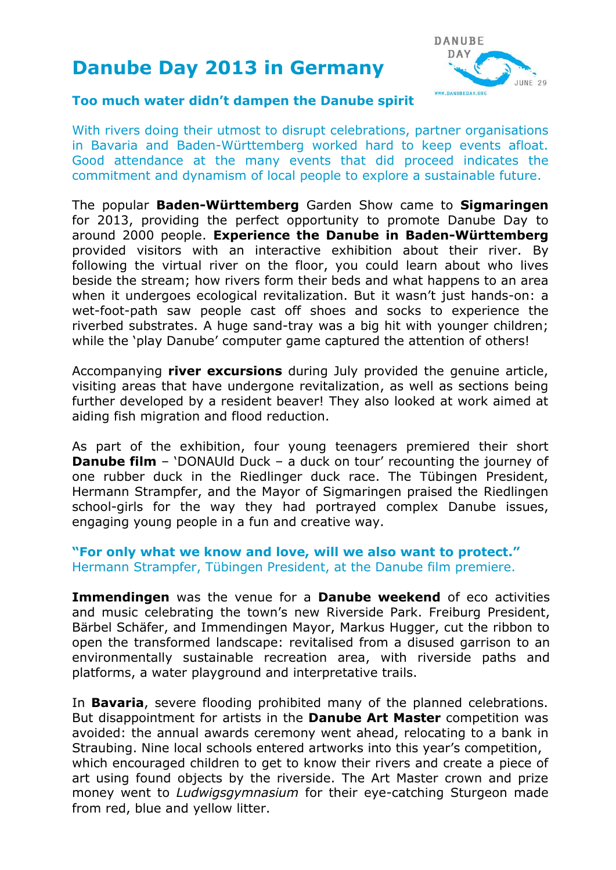# **Danube Day 2013 in Germany**



#### **Too much water didn't dampen the Danube spirit**

With rivers doing their utmost to disrupt celebrations, partner organisations in Bavaria and Baden-Württemberg worked hard to keep events afloat. Good attendance at the many events that did proceed indicates the commitment and dynamism of local people to explore a sustainable future.

The popular **Baden-Württemberg** Garden Show came to **Sigmaringen** for 2013, providing the perfect opportunity to promote Danube Day to around 2000 people. **Experience the Danube in Baden-Württemberg** provided visitors with an interactive exhibition about their river. By following the virtual river on the floor, you could learn about who lives beside the stream; how rivers form their beds and what happens to an area when it undergoes ecological revitalization. But it wasn't just hands-on: a wet-foot-path saw people cast off shoes and socks to experience the riverbed substrates. A huge sand-tray was a big hit with younger children; while the 'play Danube' computer game captured the attention of others!

Accompanying **river excursions** during July provided the genuine article, visiting areas that have undergone revitalization, as well as sections being further developed by a resident beaver! They also looked at work aimed at aiding fish migration and flood reduction.

As part of the exhibition, four young teenagers premiered their short **Danube film** – 'DONAUId Duck – a duck on tour' recounting the journey of one rubber duck in the Riedlinger duck race. The Tübingen President, Hermann Strampfer, and the Mayor of Sigmaringen praised the Riedlingen school-girls for the way they had portrayed complex Danube issues, engaging young people in a fun and creative way.

### **"For only what we know and love, will we also want to protect."** Hermann Strampfer, Tübingen President, at the Danube film premiere.

**Immendingen** was the venue for a **Danube weekend** of eco activities and music celebrating the town's new Riverside Park. Freiburg President, Bärbel Schäfer, and Immendingen Mayor, Markus Hugger, cut the ribbon to open the transformed landscape: revitalised from a disused garrison to an environmentally sustainable recreation area, with riverside paths and platforms, a water playground and interpretative trails.

In **Bavaria**, severe flooding prohibited many of the planned celebrations. But disappointment for artists in the **Danube Art Master** competition was avoided: the annual awards ceremony went ahead, relocating to a bank in Straubing. Nine local schools entered artworks into this year's competition, which encouraged children to get to know their rivers and create a piece of art using found objects by the riverside. The Art Master crown and prize money went to *Ludwigsgymnasium* for their eye-catching Sturgeon made from red, blue and yellow litter.